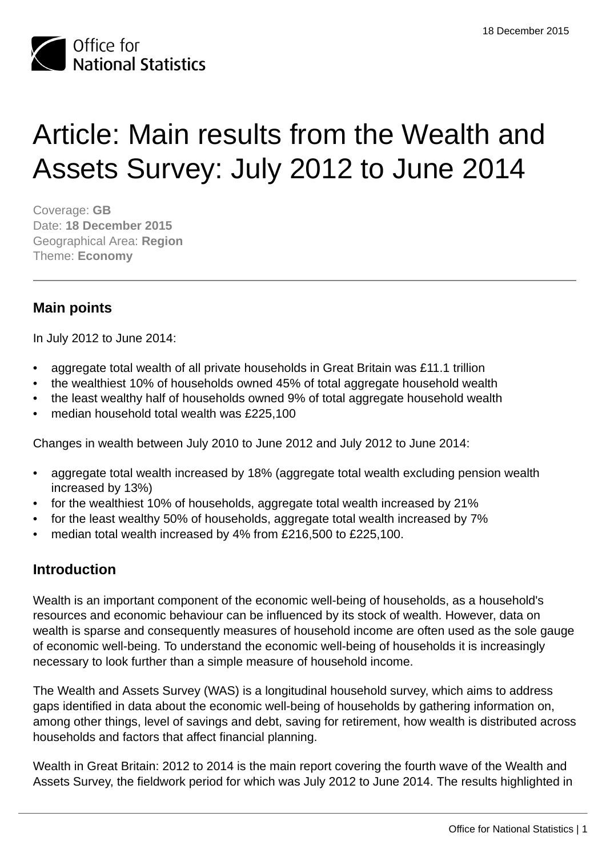

# Article: Main results from the Wealth and Assets Survey: July 2012 to June 2014

Coverage: **GB** Date: **18 December 2015** Geographical Area: **Region** Theme: **Economy**

# **Main points**

In July 2012 to June 2014:

- aggregate total wealth of all private households in Great Britain was £11.1 trillion
- the wealthiest 10% of households owned 45% of total aggregate household wealth
- the least wealthy half of households owned 9% of total aggregate household wealth
- median household total wealth was £225,100

Changes in wealth between July 2010 to June 2012 and July 2012 to June 2014:

- aggregate total wealth increased by 18% (aggregate total wealth excluding pension wealth increased by 13%)
- for the wealthiest 10% of households, aggregate total wealth increased by 21%
- for the least wealthy 50% of households, aggregate total wealth increased by 7%
- median total wealth increased by 4% from £216,500 to £225,100.

# **Introduction**

Wealth is an important component of the economic well-being of households, as a household's resources and economic behaviour can be influenced by its stock of wealth. However, data on wealth is sparse and consequently measures of household income are often used as the sole gauge of economic well-being. To understand the economic well-being of households it is increasingly necessary to look further than a simple measure of household income.

The Wealth and Assets Survey (WAS) is a longitudinal household survey, which aims to address gaps identified in data about the economic well-being of households by gathering information on, among other things, level of savings and debt, saving for retirement, how wealth is distributed across households and factors that affect financial planning.

Wealth in Great Britain: 2012 to 2014 is the main report covering the fourth wave of the Wealth and Assets Survey, the fieldwork period for which was July 2012 to June 2014. The results highlighted in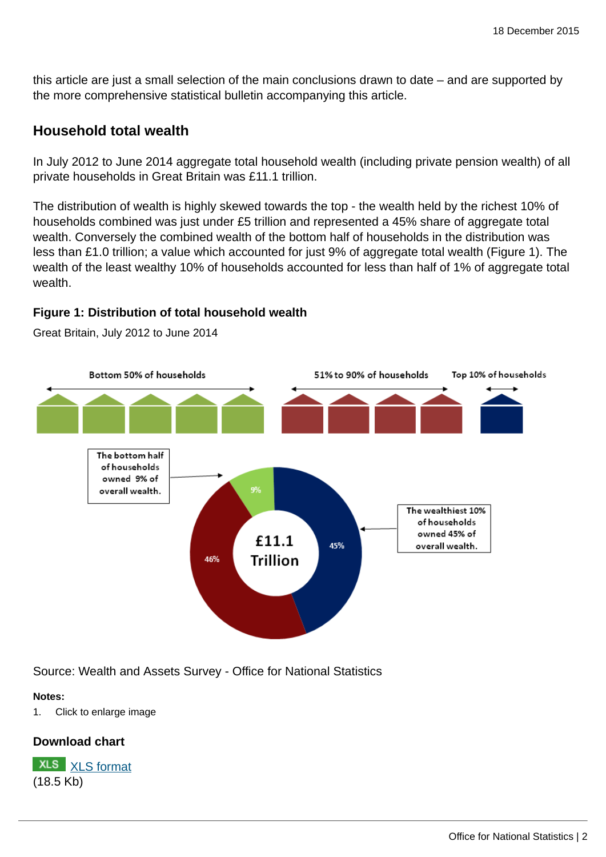this article are just a small selection of the main conclusions drawn to date – and are supported by the more comprehensive statistical bulletin accompanying this article.

## **Household total wealth**

In July 2012 to June 2014 aggregate total household wealth (including private pension wealth) of all private households in Great Britain was £11.1 trillion.

The distribution of wealth is highly skewed towards the top - the wealth held by the richest 10% of households combined was just under £5 trillion and represented a 45% share of aggregate total wealth. Conversely the combined wealth of the bottom half of households in the distribution was less than £1.0 trillion; a value which accounted for just 9% of aggregate total wealth (Figure 1). The wealth of the least wealthy 10% of households accounted for less than half of 1% of aggregate total wealth.

## **Figure 1: Distribution of total household wealth**



Great Britain, July 2012 to June 2014

Source: Wealth and Assets Survey - Office for National Statistics

#### **Notes:**

1. Click to enlarge image

## **Download chart**

**XLS** [XLS format](http://www.ons.gov.uk:80/ons/rel/was/wealth-in-great-britain-wave-4/2012-2014/art-chd-1.xls) (18.5 Kb)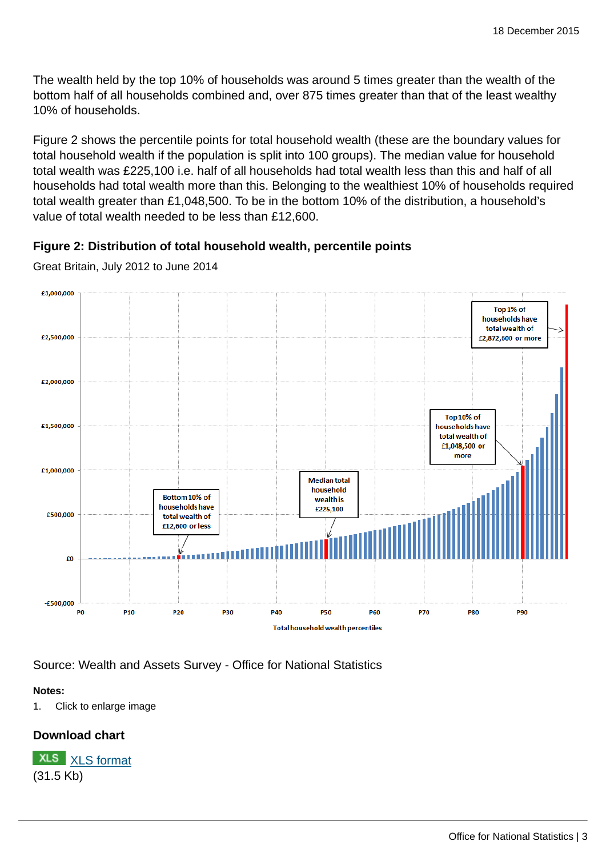The wealth held by the top 10% of households was around 5 times greater than the wealth of the bottom half of all households combined and, over 875 times greater than that of the least wealthy 10% of households.

Figure 2 shows the percentile points for total household wealth (these are the boundary values for total household wealth if the population is split into 100 groups). The median value for household total wealth was £225,100 i.e. half of all households had total wealth less than this and half of all households had total wealth more than this. Belonging to the wealthiest 10% of households required total wealth greater than £1,048,500. To be in the bottom 10% of the distribution, a household's value of total wealth needed to be less than £12,600.

## **Figure 2: Distribution of total household wealth, percentile points**



Great Britain, July 2012 to June 2014

Source: Wealth and Assets Survey - Office for National Statistics

## **Notes:**

1. Click to enlarge image

# **Download chart**

**XLS** [XLS format](http://www.ons.gov.uk:80/ons/rel/was/wealth-in-great-britain-wave-4/2012-2014/art-chd-2.xls) (31.5 Kb)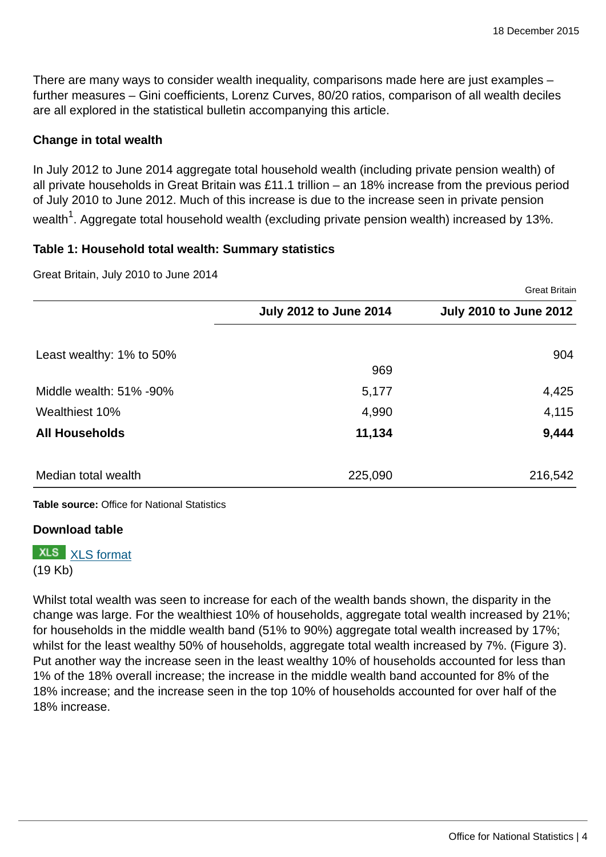There are many ways to consider wealth inequality, comparisons made here are just examples – further measures – Gini coefficients, Lorenz Curves, 80/20 ratios, comparison of all wealth deciles are all explored in the statistical bulletin accompanying this article.

#### **Change in total wealth**

In July 2012 to June 2014 aggregate total household wealth (including private pension wealth) of all private households in Great Britain was £11.1 trillion – an 18% increase from the previous period of July 2010 to June 2012. Much of this increase is due to the increase seen in private pension wealth $^1$ . Aggregate total household wealth (excluding private pension wealth) increased by 13%.

#### **Table 1: Household total wealth: Summary statistics**

Great Britain, July 2010 to June 2014

|                          |                               | <b>Great Britain</b>          |
|--------------------------|-------------------------------|-------------------------------|
|                          | <b>July 2012 to June 2014</b> | <b>July 2010 to June 2012</b> |
| Least wealthy: 1% to 50% |                               | 904                           |
|                          | 969                           |                               |
| Middle wealth: 51% -90%  | 5,177                         | 4,425                         |
| Wealthiest 10%           | 4,990                         | 4,115                         |
| <b>All Households</b>    | 11,134                        | 9,444                         |
| Median total wealth      | 225,090                       | 216,542                       |

**Table source:** Office for National Statistics

#### **Download table**

**XLS** [XLS format](http://www.ons.gov.uk:80/ons/rel/was/wealth-in-great-britain-wave-4/2012-2014/art-prt-table-1.xls) (19 Kb)

Whilst total wealth was seen to increase for each of the wealth bands shown, the disparity in the change was large. For the wealthiest 10% of households, aggregate total wealth increased by 21%; for households in the middle wealth band (51% to 90%) aggregate total wealth increased by 17%; whilst for the least wealthy 50% of households, aggregate total wealth increased by 7%. (Figure 3). Put another way the increase seen in the least wealthy 10% of households accounted for less than 1% of the 18% overall increase; the increase in the middle wealth band accounted for 8% of the 18% increase; and the increase seen in the top 10% of households accounted for over half of the 18% increase.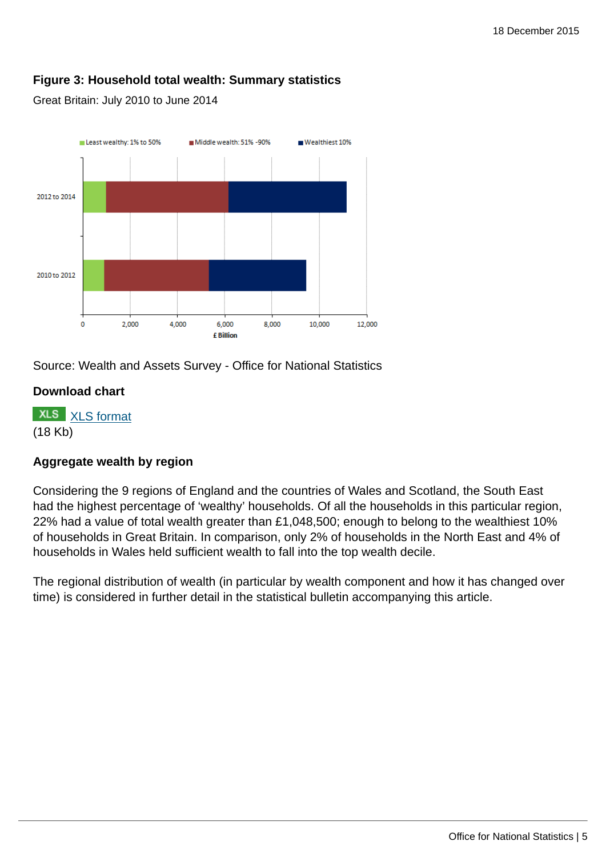## **Figure 3: Household total wealth: Summary statistics**

Great Britain: July 2010 to June 2014



Source: Wealth and Assets Survey - Office for National Statistics

#### **Download chart**

**XLS** [XLS format](http://www.ons.gov.uk:80/ons/rel/was/wealth-in-great-britain-wave-4/2012-2014/art-chd-3.xls) (18 Kb)

#### **Aggregate wealth by region**

Considering the 9 regions of England and the countries of Wales and Scotland, the South East had the highest percentage of 'wealthy' households. Of all the households in this particular region, 22% had a value of total wealth greater than £1,048,500; enough to belong to the wealthiest 10% of households in Great Britain. In comparison, only 2% of households in the North East and 4% of households in Wales held sufficient wealth to fall into the top wealth decile.

The regional distribution of wealth (in particular by wealth component and how it has changed over time) is considered in further detail in the statistical bulletin accompanying this article.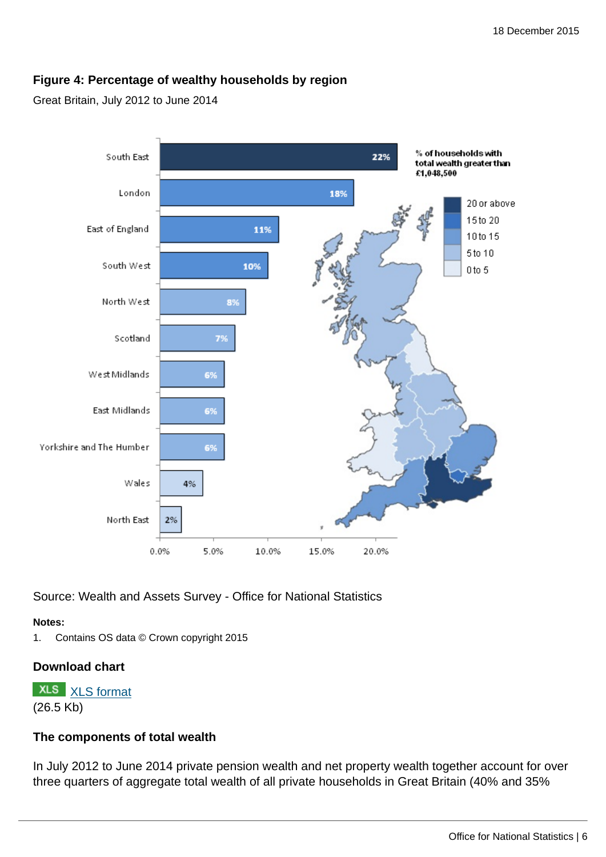## **Figure 4: Percentage of wealthy households by region**

#### Great Britain, July 2012 to June 2014



Source: Wealth and Assets Survey - Office for National Statistics

#### **Notes:**

1. Contains OS data © Crown copyright 2015

## **Download chart**

**XLS** [XLS format](http://www.ons.gov.uk:80/ons/rel/was/wealth-in-great-britain-wave-4/2012-2014/art-chd-4.xls) (26.5 Kb)

#### **The components of total wealth**

In July 2012 to June 2014 private pension wealth and net property wealth together account for over three quarters of aggregate total wealth of all private households in Great Britain (40% and 35%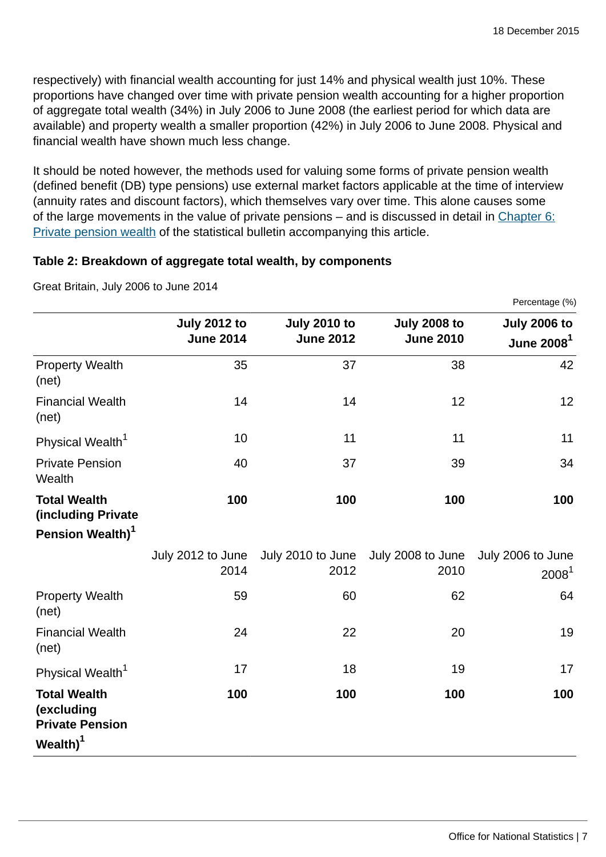respectively) with financial wealth accounting for just 14% and physical wealth just 10%. These proportions have changed over time with private pension wealth accounting for a higher proportion of aggregate total wealth (34%) in July 2006 to June 2008 (the earliest period for which data are available) and property wealth a smaller proportion (42%) in July 2006 to June 2008. Physical and financial wealth have shown much less change.

It should be noted however, the methods used for valuing some forms of private pension wealth (defined benefit (DB) type pensions) use external market factors applicable at the time of interview (annuity rates and discount factors), which themselves vary over time. This alone causes some of the large movements in the value of private pensions – and is discussed in detail in [Chapter 6:](http://www.ons.gov.uk:80/ons/rel/was/wealth-in-great-britain-wave-4/2012-2014/rpt-chapter-6.html) [Private pension wealth](http://www.ons.gov.uk:80/ons/rel/was/wealth-in-great-britain-wave-4/2012-2014/rpt-chapter-6.html) of the statistical bulletin accompanying this article.

#### **Table 2: Breakdown of aggregate total wealth, by components**

|                                                                                     |                                         |                                         |                                         | Percentage (%)                        |
|-------------------------------------------------------------------------------------|-----------------------------------------|-----------------------------------------|-----------------------------------------|---------------------------------------|
|                                                                                     | <b>July 2012 to</b><br><b>June 2014</b> | <b>July 2010 to</b><br><b>June 2012</b> | <b>July 2008 to</b><br><b>June 2010</b> | <b>July 2006 to</b><br>June 2008 $^1$ |
| <b>Property Wealth</b><br>(net)                                                     | 35                                      | 37                                      | 38                                      | 42                                    |
| <b>Financial Wealth</b><br>(net)                                                    | 14                                      | 14                                      | 12                                      | 12                                    |
| Physical Wealth <sup>1</sup>                                                        | 10                                      | 11                                      | 11                                      | 11                                    |
| <b>Private Pension</b><br>Wealth                                                    | 40                                      | 37                                      | 39                                      | 34                                    |
| <b>Total Wealth</b><br>(including Private                                           | 100                                     | 100                                     | 100                                     | 100                                   |
| Pension Wealth) <sup>1</sup>                                                        |                                         |                                         |                                         |                                       |
|                                                                                     | July 2012 to June<br>2014               | July 2010 to June<br>2012               | July 2008 to June<br>2010               | July 2006 to June<br>$2008^1$         |
| <b>Property Wealth</b><br>(net)                                                     | 59                                      | 60                                      | 62                                      | 64                                    |
| <b>Financial Wealth</b><br>(net)                                                    | 24                                      | 22                                      | 20                                      | 19                                    |
| Physical Wealth <sup>1</sup>                                                        | 17                                      | 18                                      | 19                                      | 17                                    |
| <b>Total Wealth</b><br>(excluding<br><b>Private Pension</b><br>Wealth) <sup>1</sup> | 100                                     | 100                                     | 100                                     | 100                                   |

Great Britain, July 2006 to June 2014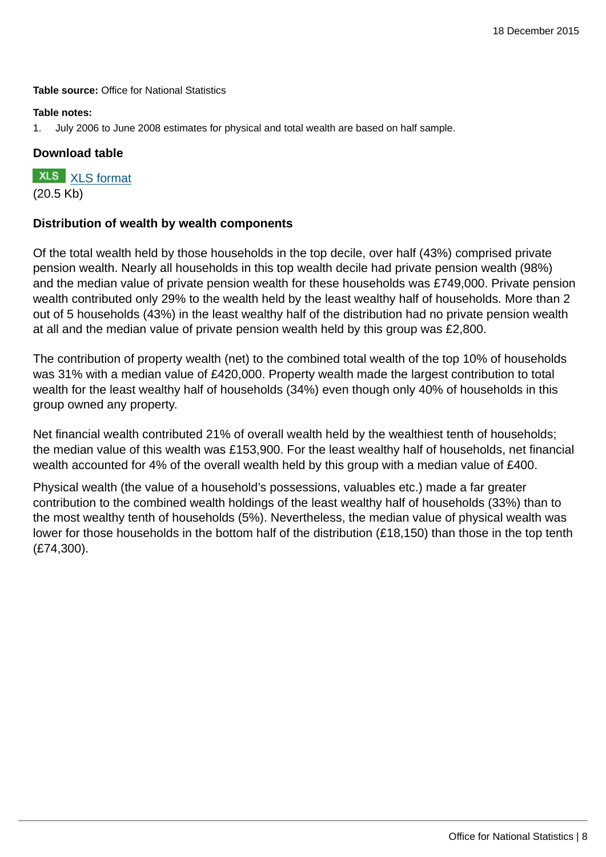**Table source:** Office for National Statistics

#### **Table notes:**

1. July 2006 to June 2008 estimates for physical and total wealth are based on half sample.

#### **Download table**

**XLS** [XLS format](http://www.ons.gov.uk:80/ons/rel/was/wealth-in-great-britain-wave-4/2012-2014/art-prt-table-2.xls) (20.5 Kb)

#### **Distribution of wealth by wealth components**

Of the total wealth held by those households in the top decile, over half (43%) comprised private pension wealth. Nearly all households in this top wealth decile had private pension wealth (98%) and the median value of private pension wealth for these households was £749,000. Private pension wealth contributed only 29% to the wealth held by the least wealthy half of households. More than 2 out of 5 households (43%) in the least wealthy half of the distribution had no private pension wealth at all and the median value of private pension wealth held by this group was £2,800.

The contribution of property wealth (net) to the combined total wealth of the top 10% of households was 31% with a median value of £420,000. Property wealth made the largest contribution to total wealth for the least wealthy half of households (34%) even though only 40% of households in this group owned any property.

Net financial wealth contributed 21% of overall wealth held by the wealthiest tenth of households; the median value of this wealth was £153,900. For the least wealthy half of households, net financial wealth accounted for 4% of the overall wealth held by this group with a median value of £400.

Physical wealth (the value of a household's possessions, valuables etc.) made a far greater contribution to the combined wealth holdings of the least wealthy half of households (33%) than to the most wealthy tenth of households (5%). Nevertheless, the median value of physical wealth was lower for those households in the bottom half of the distribution (£18,150) than those in the top tenth (£74,300).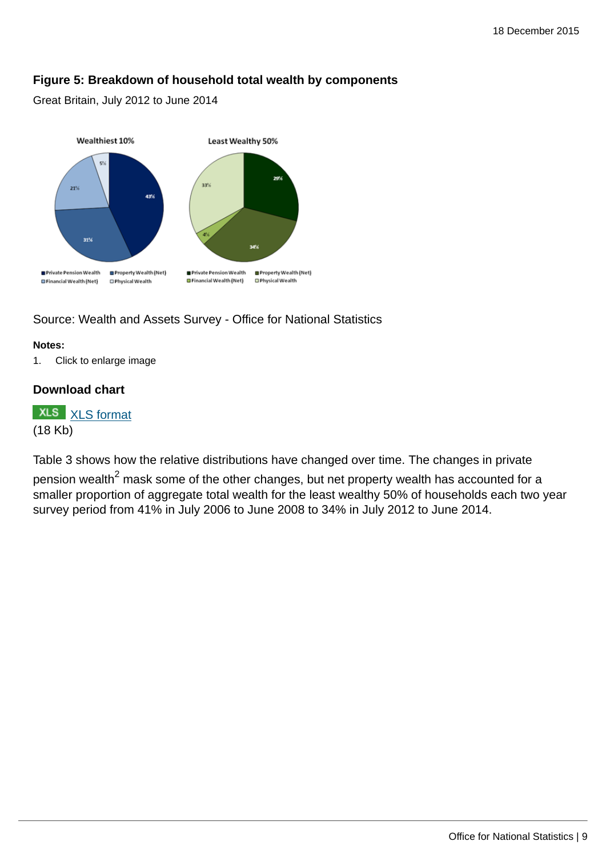## **Figure 5: Breakdown of household total wealth by components**

Great Britain, July 2012 to June 2014



Source: Wealth and Assets Survey - Office for National Statistics

#### **Notes:**

1. Click to enlarge image

#### **Download chart**

**XLS** [XLS format](http://www.ons.gov.uk:80/ons/rel/was/wealth-in-great-britain-wave-4/2012-2014/art-chd-5.xls) (18 Kb)

Table 3 shows how the relative distributions have changed over time. The changes in private

pension wealth $^2$  mask some of the other changes, but net property wealth has accounted for a smaller proportion of aggregate total wealth for the least wealthy 50% of households each two year survey period from 41% in July 2006 to June 2008 to 34% in July 2012 to June 2014.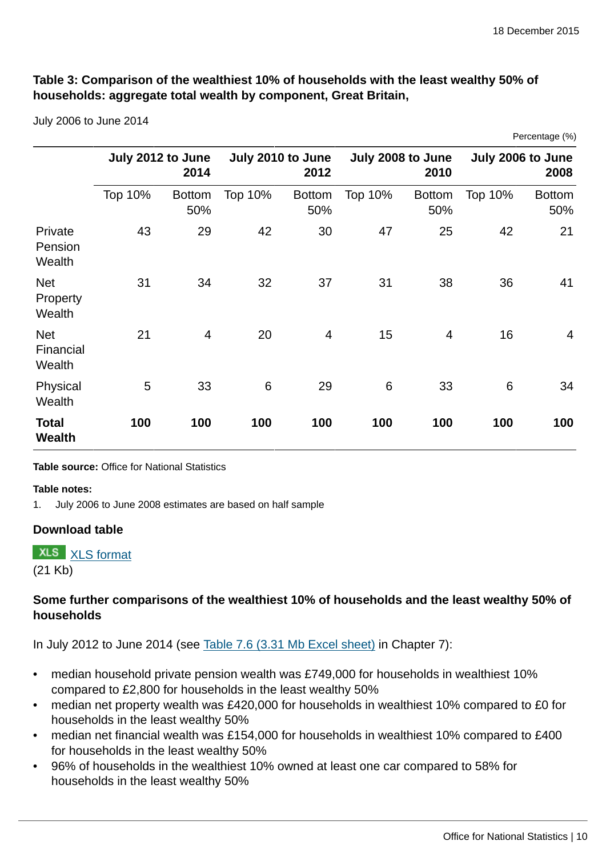Percentage (%)

## **Table 3: Comparison of the wealthiest 10% of households with the least wealthy 50% of households: aggregate total wealth by component, Great Britain,**

July 2006 to June 2014

|                                   |                           |                      |                           |                      |                           |                      |                           | $\sim$ 0.00 $\sim$ 0.00 $\sim$ 0.00 $\sim$ |
|-----------------------------------|---------------------------|----------------------|---------------------------|----------------------|---------------------------|----------------------|---------------------------|--------------------------------------------|
|                                   | July 2012 to June<br>2014 |                      | July 2010 to June<br>2012 |                      | July 2008 to June<br>2010 |                      | July 2006 to June<br>2008 |                                            |
|                                   | Top 10%                   | <b>Bottom</b><br>50% | Top 10%                   | <b>Bottom</b><br>50% | Top 10%                   | <b>Bottom</b><br>50% | Top 10%                   | <b>Bottom</b><br>50%                       |
| Private<br>Pension<br>Wealth      | 43                        | 29                   | 42                        | 30                   | 47                        | 25                   | 42                        | 21                                         |
| <b>Net</b><br>Property<br>Wealth  | 31                        | 34                   | 32                        | 37                   | 31                        | 38                   | 36                        | 41                                         |
| <b>Net</b><br>Financial<br>Wealth | 21                        | $\overline{4}$       | 20                        | 4                    | 15                        | $\overline{4}$       | 16                        | $\overline{4}$                             |
| Physical<br>Wealth                | 5                         | 33                   | $6\phantom{1}6$           | 29                   | 6                         | 33                   | $6\phantom{1}6$           | 34                                         |
| <b>Total</b><br><b>Wealth</b>     | 100                       | 100                  | 100                       | 100                  | 100                       | 100                  | 100                       | 100                                        |

**Table source:** Office for National Statistics

#### **Table notes:**

1. July 2006 to June 2008 estimates are based on half sample

#### **Download table**

**XLS** [XLS format](http://www.ons.gov.uk:80/ons/rel/was/wealth-in-great-britain-wave-4/2012-2014/art-prt-table-3.xls)

(21 Kb)

## **Some further comparisons of the wealthiest 10% of households and the least wealthy 50% of households**

In July 2012 to June 2014 (see [Table 7.6 \(3.31 Mb Excel sheet\)](http://www.ons.gov.uk:80/ons/rel/was/wealth-in-great-britain-wave-4/2012-2014/rft-table-7.xls) in Chapter 7):

- median household private pension wealth was £749,000 for households in wealthiest 10% compared to £2,800 for households in the least wealthy 50%
- median net property wealth was £420,000 for households in wealthiest 10% compared to £0 for households in the least wealthy 50%
- median net financial wealth was £154,000 for households in wealthiest 10% compared to £400 for households in the least wealthy 50%
- 96% of households in the wealthiest 10% owned at least one car compared to 58% for households in the least wealthy 50%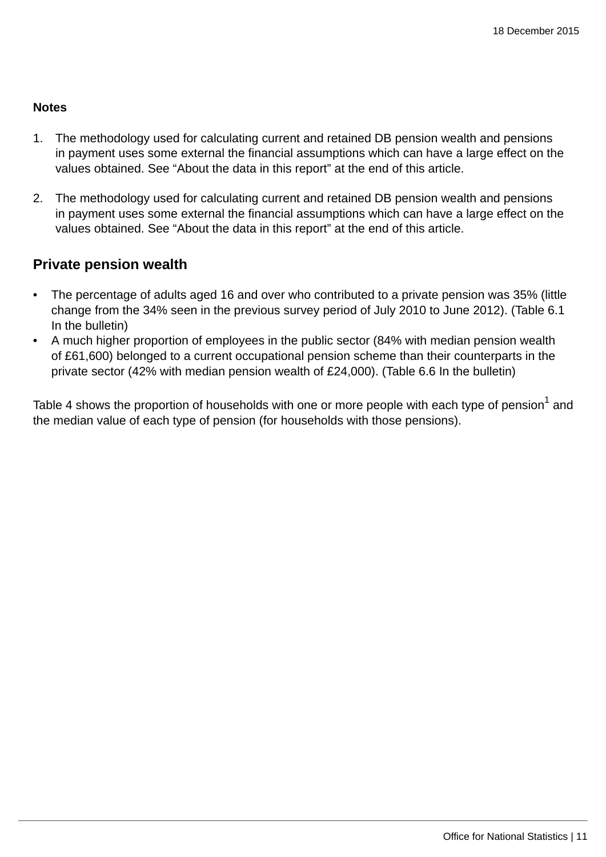#### **Notes**

- 1. The methodology used for calculating current and retained DB pension wealth and pensions in payment uses some external the financial assumptions which can have a large effect on the values obtained. See "About the data in this report" at the end of this article.
- 2. The methodology used for calculating current and retained DB pension wealth and pensions in payment uses some external the financial assumptions which can have a large effect on the values obtained. See "About the data in this report" at the end of this article.

## **Private pension wealth**

- The percentage of adults aged 16 and over who contributed to a private pension was 35% (little change from the 34% seen in the previous survey period of July 2010 to June 2012). (Table 6.1 In the bulletin)
- A much higher proportion of employees in the public sector (84% with median pension wealth of £61,600) belonged to a current occupational pension scheme than their counterparts in the private sector (42% with median pension wealth of £24,000). (Table 6.6 In the bulletin)

Table 4 shows the proportion of households with one or more people with each type of pension $^{\rm 1}$  and the median value of each type of pension (for households with those pensions).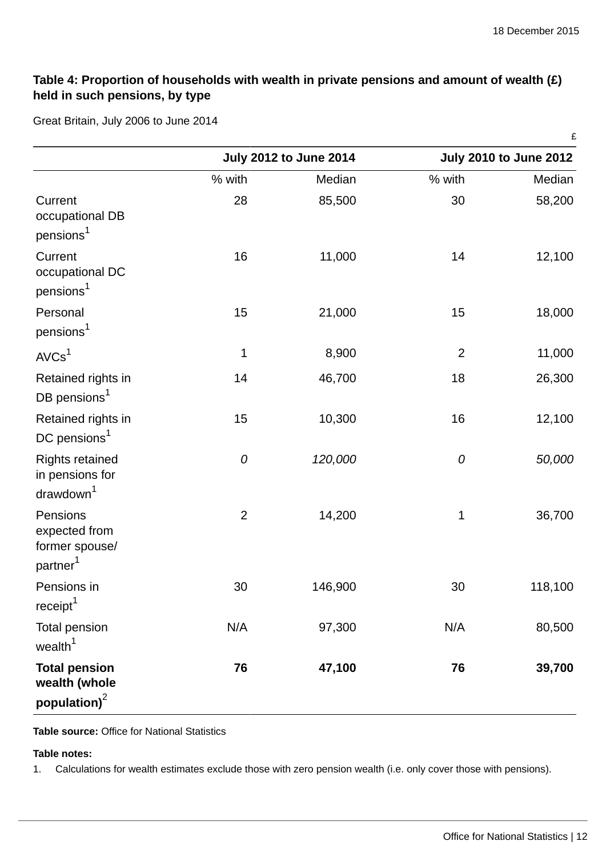## **Table 4: Proportion of households with wealth in private pensions and amount of wealth (£) held in such pensions, by type**

Great Britain, July 2006 to June 2014

|                                                                     |                |                               |                | £                             |
|---------------------------------------------------------------------|----------------|-------------------------------|----------------|-------------------------------|
|                                                                     |                | <b>July 2012 to June 2014</b> |                | <b>July 2010 to June 2012</b> |
|                                                                     | % with         | Median                        | % with         | Median                        |
| Current<br>occupational DB<br>pensions <sup>1</sup>                 | 28             | 85,500                        | 30             | 58,200                        |
| Current<br>occupational DC<br>pensions <sup>1</sup>                 | 16             | 11,000                        | 14             | 12,100                        |
| Personal<br>pensions <sup>1</sup>                                   | 15             | 21,000                        | 15             | 18,000                        |
| AVCs <sup>1</sup>                                                   | $\mathbf 1$    | 8,900                         | $\overline{2}$ | 11,000                        |
| Retained rights in<br>DB pensions <sup>1</sup>                      | 14             | 46,700                        | 18             | 26,300                        |
| Retained rights in<br>DC pensions <sup>1</sup>                      | 15             | 10,300                        | 16             | 12,100                        |
| Rights retained<br>in pensions for<br>drawdown <sup>1</sup>         | 0              | 120,000                       | 0              | 50,000                        |
| Pensions<br>expected from<br>former spouse/<br>partner <sup>1</sup> | $\overline{2}$ | 14,200                        | $\mathbf 1$    | 36,700                        |
| Pensions in<br>receipt <sup>1</sup>                                 | 30             | 146,900                       | 30             | 118,100                       |
| <b>Total pension</b><br>wealth <sup>1</sup>                         | N/A            | 97,300                        | N/A            | 80,500                        |
| <b>Total pension</b><br>wealth (whole<br>population) <sup>2</sup>   | 76             | 47,100                        | 76             | 39,700                        |
|                                                                     |                |                               |                |                               |

**Table source:** Office for National Statistics

#### **Table notes:**

1. Calculations for wealth estimates exclude those with zero pension wealth (i.e. only cover those with pensions).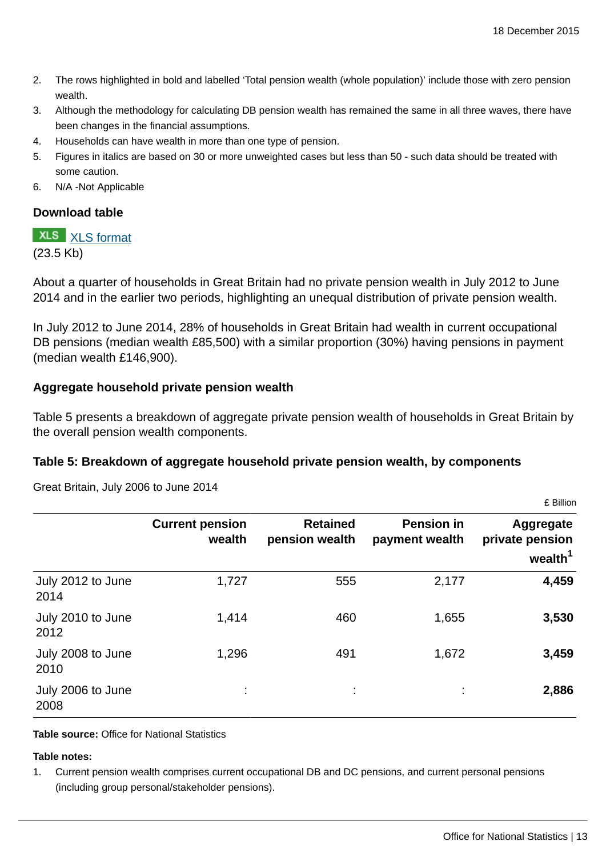- 2. The rows highlighted in bold and labelled 'Total pension wealth (whole population)' include those with zero pension wealth.
- 3. Although the methodology for calculating DB pension wealth has remained the same in all three waves, there have been changes in the financial assumptions.
- 4. Households can have wealth in more than one type of pension.
- 5. Figures in italics are based on 30 or more unweighted cases but less than 50 such data should be treated with some caution.
- 6. N/A -Not Applicable

#### **Download table**

# **XLS** [XLS format](http://www.ons.gov.uk:80/ons/rel/was/wealth-in-great-britain-wave-4/2012-2014/art-prt-table-4.xls)

(23.5 Kb)

About a quarter of households in Great Britain had no private pension wealth in July 2012 to June 2014 and in the earlier two periods, highlighting an unequal distribution of private pension wealth.

In July 2012 to June 2014, 28% of households in Great Britain had wealth in current occupational DB pensions (median wealth £85,500) with a similar proportion (30%) having pensions in payment (median wealth £146,900).

#### **Aggregate household private pension wealth**

Table 5 presents a breakdown of aggregate private pension wealth of households in Great Britain by the overall pension wealth components.

#### **Table 5: Breakdown of aggregate household private pension wealth, by components**

|                           |                                  |                                   |                                     | 1.11111                                                |
|---------------------------|----------------------------------|-----------------------------------|-------------------------------------|--------------------------------------------------------|
|                           | <b>Current pension</b><br>wealth | <b>Retained</b><br>pension wealth | <b>Pension in</b><br>payment wealth | Aggregate<br>private pension<br>wealth $^{\mathtt{1}}$ |
| July 2012 to June<br>2014 | 1,727                            | 555                               | 2,177                               | 4,459                                                  |
| July 2010 to June<br>2012 | 1,414                            | 460                               | 1,655                               | 3,530                                                  |
| July 2008 to June<br>2010 | 1,296                            | 491                               | 1,672                               | 3,459                                                  |
| July 2006 to June<br>2008 |                                  |                                   |                                     | 2,886                                                  |

Great Britain, July 2006 to June 2014

**Table source:** Office for National Statistics

#### **Table notes:**

1. Current pension wealth comprises current occupational DB and DC pensions, and current personal pensions (including group personal/stakeholder pensions).

£ Billion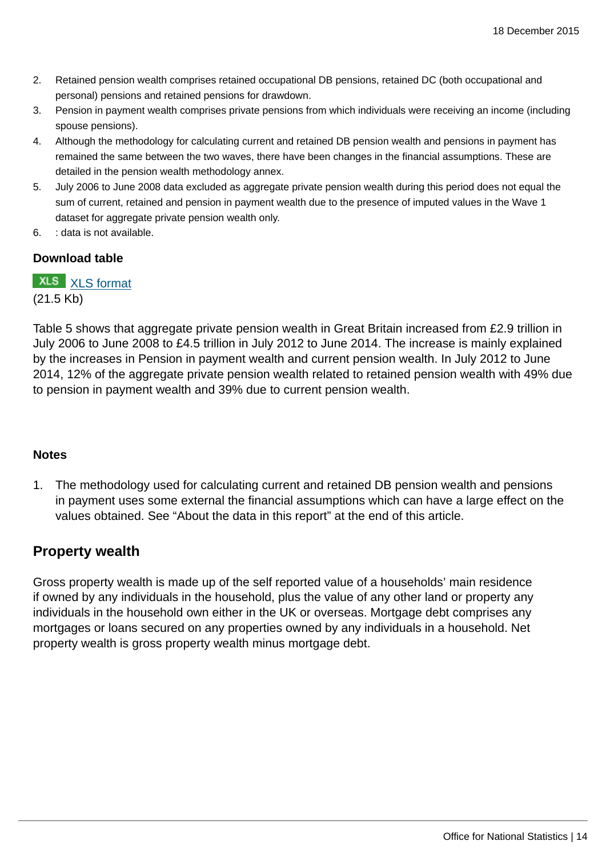- 2. Retained pension wealth comprises retained occupational DB pensions, retained DC (both occupational and personal) pensions and retained pensions for drawdown.
- 3. Pension in payment wealth comprises private pensions from which individuals were receiving an income (including spouse pensions).
- 4. Although the methodology for calculating current and retained DB pension wealth and pensions in payment has remained the same between the two waves, there have been changes in the financial assumptions. These are detailed in the pension wealth methodology annex.
- 5. July 2006 to June 2008 data excluded as aggregate private pension wealth during this period does not equal the sum of current, retained and pension in payment wealth due to the presence of imputed values in the Wave 1 dataset for aggregate private pension wealth only.
- 6. : data is not available.

#### **Download table**

**XLS** [XLS format](http://www.ons.gov.uk:80/ons/rel/was/wealth-in-great-britain-wave-4/2012-2014/art-prt-table-5.xls) (21.5 Kb)

Table 5 shows that aggregate private pension wealth in Great Britain increased from £2.9 trillion in July 2006 to June 2008 to £4.5 trillion in July 2012 to June 2014. The increase is mainly explained by the increases in Pension in payment wealth and current pension wealth. In July 2012 to June 2014, 12% of the aggregate private pension wealth related to retained pension wealth with 49% due to pension in payment wealth and 39% due to current pension wealth.

#### **Notes**

1. The methodology used for calculating current and retained DB pension wealth and pensions in payment uses some external the financial assumptions which can have a large effect on the values obtained. See "About the data in this report" at the end of this article.

## **Property wealth**

Gross property wealth is made up of the self reported value of a households' main residence if owned by any individuals in the household, plus the value of any other land or property any individuals in the household own either in the UK or overseas. Mortgage debt comprises any mortgages or loans secured on any properties owned by any individuals in a household. Net property wealth is gross property wealth minus mortgage debt.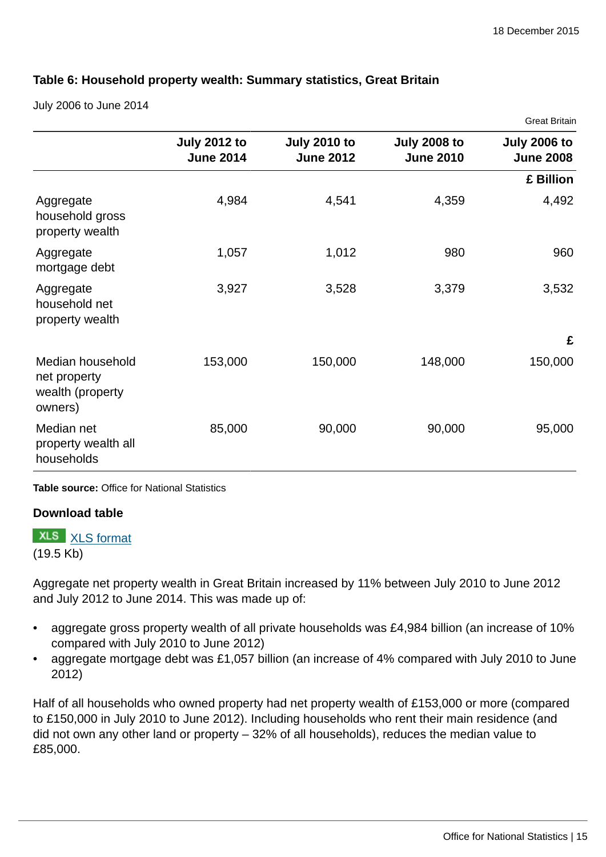Croot Pritoin

#### **Table 6: Household property wealth: Summary statistics, Great Britain**

July 2006 to June 2014

|                                                                 |                                         |                                         |                                         | ייייייייייייייייי                       |
|-----------------------------------------------------------------|-----------------------------------------|-----------------------------------------|-----------------------------------------|-----------------------------------------|
|                                                                 | <b>July 2012 to</b><br><b>June 2014</b> | <b>July 2010 to</b><br><b>June 2012</b> | <b>July 2008 to</b><br><b>June 2010</b> | <b>July 2006 to</b><br><b>June 2008</b> |
|                                                                 |                                         |                                         |                                         | £ Billion                               |
| Aggregate<br>household gross<br>property wealth                 | 4,984                                   | 4,541                                   | 4,359                                   | 4,492                                   |
| Aggregate<br>mortgage debt                                      | 1,057                                   | 1,012                                   | 980                                     | 960                                     |
| Aggregate<br>household net<br>property wealth                   | 3,927                                   | 3,528                                   | 3,379                                   | 3,532                                   |
|                                                                 |                                         |                                         |                                         | £                                       |
| Median household<br>net property<br>wealth (property<br>owners) | 153,000                                 | 150,000                                 | 148,000                                 | 150,000                                 |
| Median net<br>property wealth all<br>households                 | 85,000                                  | 90,000                                  | 90,000                                  | 95,000                                  |

**Table source:** Office for National Statistics

#### **Download table**

**XLS** [XLS format](http://www.ons.gov.uk:80/ons/rel/was/wealth-in-great-britain-wave-4/2012-2014/art-prt-table-6.xls)

(19.5 Kb)

Aggregate net property wealth in Great Britain increased by 11% between July 2010 to June 2012 and July 2012 to June 2014. This was made up of:

- aggregate gross property wealth of all private households was £4,984 billion (an increase of 10% compared with July 2010 to June 2012)
- aggregate mortgage debt was £1,057 billion (an increase of 4% compared with July 2010 to June 2012)

Half of all households who owned property had net property wealth of £153,000 or more (compared to £150,000 in July 2010 to June 2012). Including households who rent their main residence (and did not own any other land or property – 32% of all households), reduces the median value to £85,000.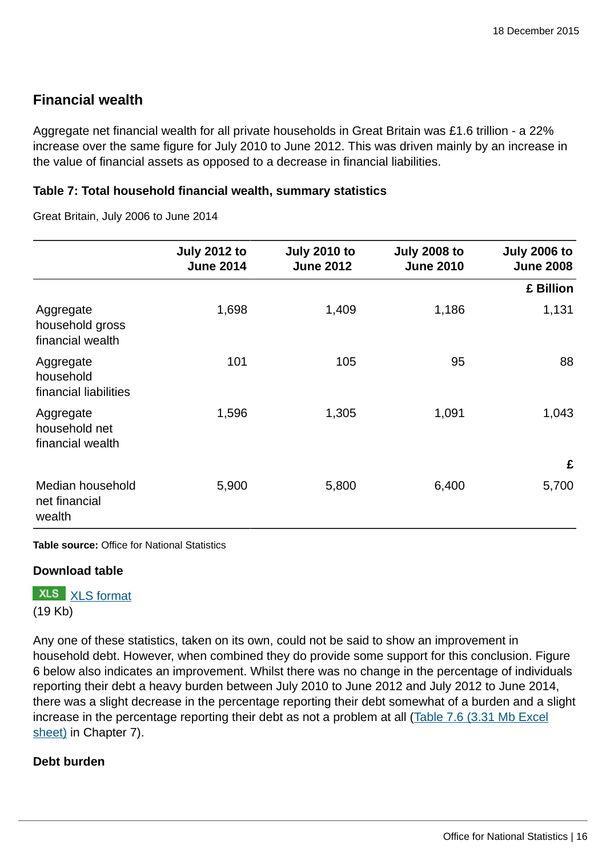# **Financial wealth**

Aggregate net financial wealth for all private households in Great Britain was £1.6 trillion - a 22% increase over the same figure for July 2010 to June 2012. This was driven mainly by an increase in the value of financial assets as opposed to a decrease in financial liabilities.

#### **Table 7: Total household financial wealth, summary statistics**

Great Britain, July 2006 to June 2014

|                                                  | <b>July 2012 to</b><br><b>June 2014</b> | <b>July 2010 to</b><br><b>June 2012</b> | <b>July 2008 to</b><br><b>June 2010</b> | <b>July 2006 to</b><br><b>June 2008</b> |
|--------------------------------------------------|-----------------------------------------|-----------------------------------------|-----------------------------------------|-----------------------------------------|
|                                                  |                                         |                                         |                                         | £ Billion                               |
| Aggregate<br>household gross<br>financial wealth | 1,698                                   | 1,409                                   | 1,186                                   | 1,131                                   |
| Aggregate<br>household<br>financial liabilities  | 101                                     | 105                                     | 95                                      | 88                                      |
| Aggregate<br>household net<br>financial wealth   | 1,596                                   | 1,305                                   | 1,091                                   | 1,043                                   |
|                                                  |                                         |                                         |                                         | £                                       |
| Median household<br>net financial<br>wealth      | 5,900                                   | 5,800                                   | 6,400                                   | 5,700                                   |

**Table source:** Office for National Statistics

#### **Download table**

**XLS** [XLS format](http://www.ons.gov.uk:80/ons/rel/was/wealth-in-great-britain-wave-4/2012-2014/art-prt-table-7.xls) (19 Kb)

Any one of these statistics, taken on its own, could not be said to show an improvement in household debt. However, when combined they do provide some support for this conclusion. Figure 6 below also indicates an improvement. Whilst there was no change in the percentage of individuals reporting their debt a heavy burden between July 2010 to June 2012 and July 2012 to June 2014, there was a slight decrease in the percentage reporting their debt somewhat of a burden and a slight increase in the percentage reporting their debt as not a problem at all [\(Table 7.6 \(3.31 Mb Excel](http://www.ons.gov.uk:80/ons/rel/was/wealth-in-great-britain-wave-4/2012-2014/rft-table-7.xls) [sheet\)](http://www.ons.gov.uk:80/ons/rel/was/wealth-in-great-britain-wave-4/2012-2014/rft-table-7.xls) in Chapter 7).

#### **Debt burden**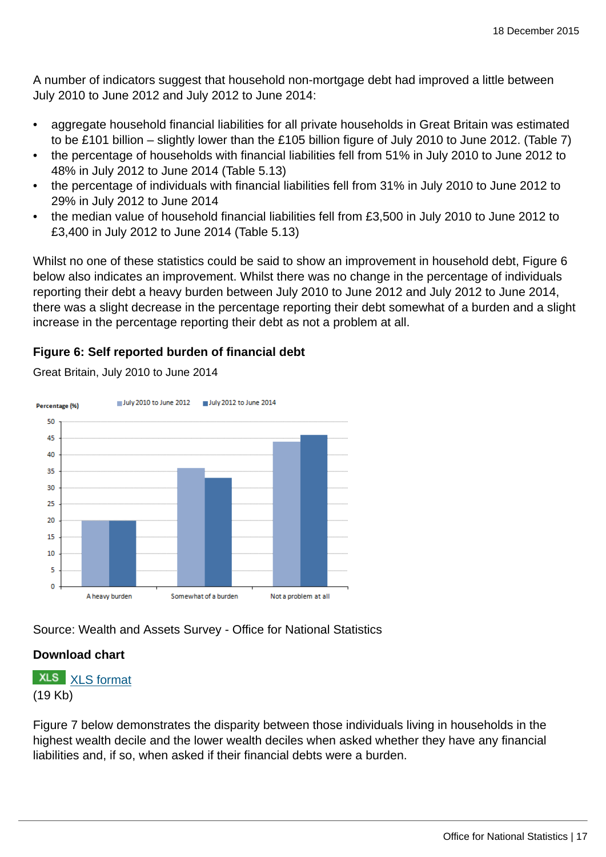A number of indicators suggest that household non-mortgage debt had improved a little between July 2010 to June 2012 and July 2012 to June 2014:

- aggregate household financial liabilities for all private households in Great Britain was estimated to be £101 billion – slightly lower than the £105 billion figure of July 2010 to June 2012. (Table 7)
- the percentage of households with financial liabilities fell from 51% in July 2010 to June 2012 to 48% in July 2012 to June 2014 (Table 5.13)
- the percentage of individuals with financial liabilities fell from 31% in July 2010 to June 2012 to 29% in July 2012 to June 2014
- the median value of household financial liabilities fell from £3,500 in July 2010 to June 2012 to £3,400 in July 2012 to June 2014 (Table 5.13)

Whilst no one of these statistics could be said to show an improvement in household debt, Figure 6 below also indicates an improvement. Whilst there was no change in the percentage of individuals reporting their debt a heavy burden between July 2010 to June 2012 and July 2012 to June 2014, there was a slight decrease in the percentage reporting their debt somewhat of a burden and a slight increase in the percentage reporting their debt as not a problem at all.

## **Figure 6: Self reported burden of financial debt**



Great Britain, July 2010 to June 2014

Source: Wealth and Assets Survey - Office for National Statistics

#### **Download chart**

**XLS** [XLS format](http://www.ons.gov.uk:80/ons/rel/was/wealth-in-great-britain-wave-4/2012-2014/art-chd-6.xls) (19 Kb)

Figure 7 below demonstrates the disparity between those individuals living in households in the highest wealth decile and the lower wealth deciles when asked whether they have any financial liabilities and, if so, when asked if their financial debts were a burden.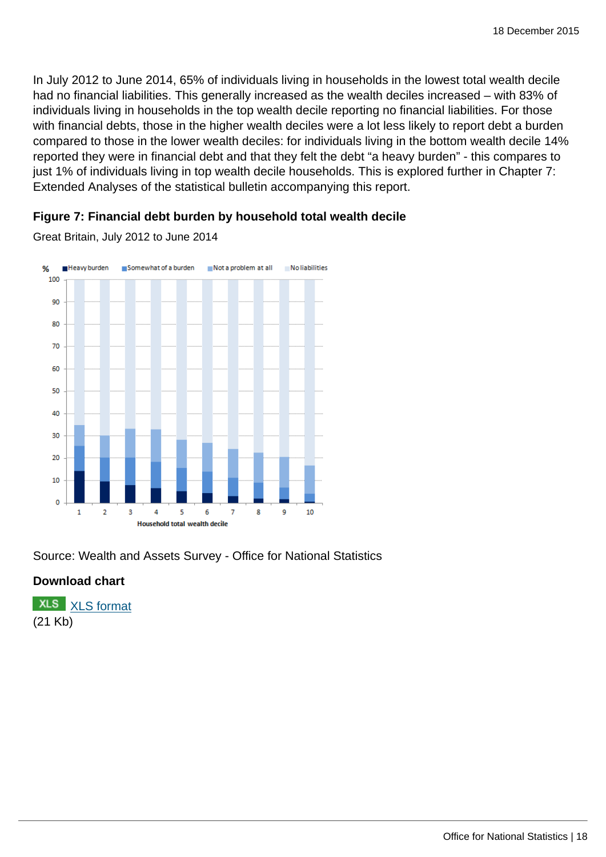In July 2012 to June 2014, 65% of individuals living in households in the lowest total wealth decile had no financial liabilities. This generally increased as the wealth deciles increased – with 83% of individuals living in households in the top wealth decile reporting no financial liabilities. For those with financial debts, those in the higher wealth deciles were a lot less likely to report debt a burden compared to those in the lower wealth deciles: for individuals living in the bottom wealth decile 14% reported they were in financial debt and that they felt the debt "a heavy burden" - this compares to just 1% of individuals living in top wealth decile households. This is explored further in Chapter 7: Extended Analyses of the statistical bulletin accompanying this report.

#### **Figure 7: Financial debt burden by household total wealth decile**

Great Britain, July 2012 to June 2014



Source: Wealth and Assets Survey - Office for National Statistics

#### **Download chart**

**XLS** [XLS format](http://www.ons.gov.uk:80/ons/rel/was/wealth-in-great-britain-wave-4/2012-2014/art-chd-7.xls) (21 Kb)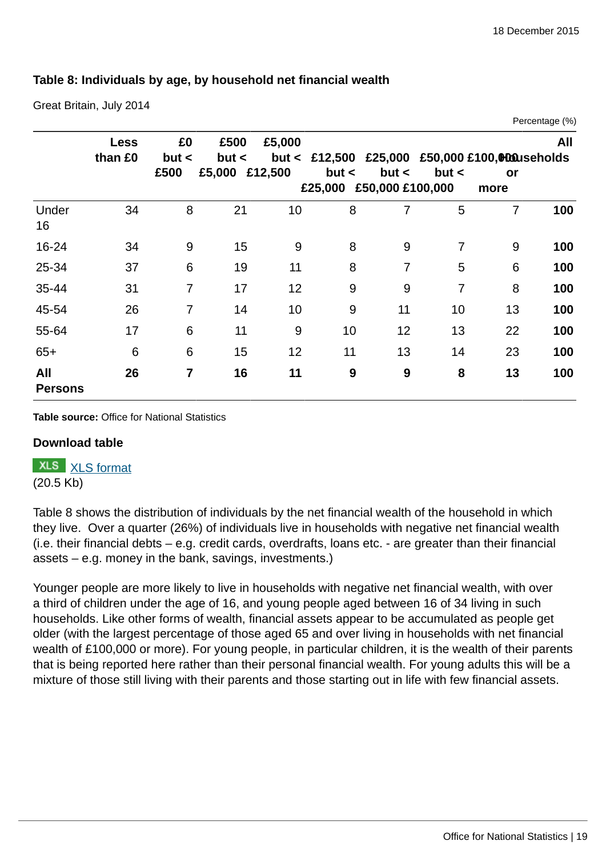## **Table 8: Individuals by age, by household net financial wealth**

Great Britain, July 2014

|                       |                        |                |               |         |         |                  |                |                                                 | Percentage (%) |
|-----------------------|------------------------|----------------|---------------|---------|---------|------------------|----------------|-------------------------------------------------|----------------|
|                       | <b>Less</b><br>than £0 | £0<br>but <    | £500<br>but < | £5,000  |         |                  |                | but < £12,500 £25,000 £50,000 £100,000 useholds | All            |
|                       |                        | £500           | £5,000        | £12,500 | but <   | but <            | but <          | or                                              |                |
|                       |                        |                |               |         | £25,000 | £50,000 £100,000 |                | more                                            |                |
| Under<br>16           | 34                     | 8              | 21            | 10      | 8       | 7                | 5              | $\overline{7}$                                  | 100            |
| 16-24                 | 34                     | 9              | 15            | 9       | 8       | 9                | 7              | 9                                               | 100            |
| 25-34                 | 37                     | 6              | 19            | 11      | 8       | 7                | 5              | 6                                               | 100            |
| 35-44                 | 31                     | $\overline{7}$ | 17            | 12      | 9       | 9                | $\overline{7}$ | 8                                               | 100            |
| 45-54                 | 26                     | $\overline{7}$ | 14            | 10      | 9       | 11               | 10             | 13                                              | 100            |
| 55-64                 | 17                     | 6              | 11            | 9       | 10      | 12               | 13             | 22                                              | 100            |
| $65+$                 | 6                      | 6              | 15            | 12      | 11      | 13               | 14             | 23                                              | 100            |
| All<br><b>Persons</b> | 26                     | 7              | 16            | 11      | 9       | 9                | 8              | 13                                              | 100            |

**Table source:** Office for National Statistics

#### **Download table**

**XLS** [XLS format](http://www.ons.gov.uk:80/ons/rel/was/wealth-in-great-britain-wave-4/2012-2014/art-prt-table--8.xls)

(20.5 Kb)

Table 8 shows the distribution of individuals by the net financial wealth of the household in which they live. Over a quarter (26%) of individuals live in households with negative net financial wealth (i.e. their financial debts – e.g. credit cards, overdrafts, loans etc. - are greater than their financial assets – e.g. money in the bank, savings, investments.)

Younger people are more likely to live in households with negative net financial wealth, with over a third of children under the age of 16, and young people aged between 16 of 34 living in such households. Like other forms of wealth, financial assets appear to be accumulated as people get older (with the largest percentage of those aged 65 and over living in households with net financial wealth of £100,000 or more). For young people, in particular children, it is the wealth of their parents that is being reported here rather than their personal financial wealth. For young adults this will be a mixture of those still living with their parents and those starting out in life with few financial assets.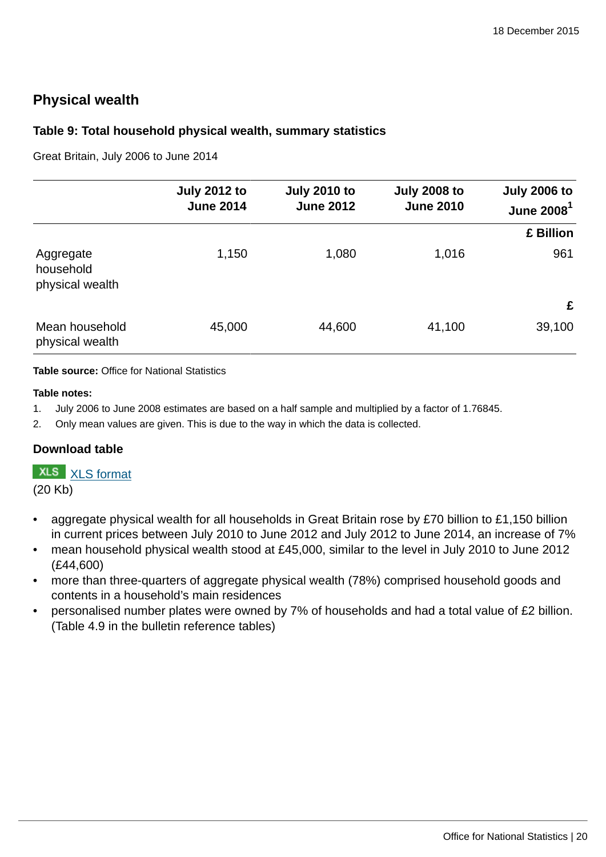# **Physical wealth**

#### **Table 9: Total household physical wealth, summary statistics**

Great Britain, July 2006 to June 2014

|                                           | <b>July 2012 to</b><br><b>June 2014</b> | <b>July 2010 to</b><br><b>June 2012</b> | <b>July 2008 to</b><br><b>June 2010</b> | <b>July 2006 to</b><br>June $20081$ |
|-------------------------------------------|-----------------------------------------|-----------------------------------------|-----------------------------------------|-------------------------------------|
|                                           |                                         |                                         |                                         | £ Billion                           |
| Aggregate<br>household<br>physical wealth | 1,150                                   | 1,080                                   | 1,016                                   | 961                                 |
|                                           |                                         |                                         |                                         | £                                   |
| Mean household<br>physical wealth         | 45,000                                  | 44,600                                  | 41,100                                  | 39,100                              |

**Table source:** Office for National Statistics

#### **Table notes:**

- 1. July 2006 to June 2008 estimates are based on a half sample and multiplied by a factor of 1.76845.
- 2. Only mean values are given. This is due to the way in which the data is collected.

#### **Download table**

**XLS** [XLS format](http://www.ons.gov.uk:80/ons/rel/was/wealth-in-great-britain-wave-4/2012-2014/art-prt-table-9.xls)

(20 Kb)

- aggregate physical wealth for all households in Great Britain rose by £70 billion to £1,150 billion in current prices between July 2010 to June 2012 and July 2012 to June 2014, an increase of 7%
- mean household physical wealth stood at £45,000, similar to the level in July 2010 to June 2012 (£44,600)
- more than three-quarters of aggregate physical wealth (78%) comprised household goods and contents in a household's main residences
- personalised number plates were owned by 7% of households and had a total value of £2 billion. (Table 4.9 in the bulletin reference tables)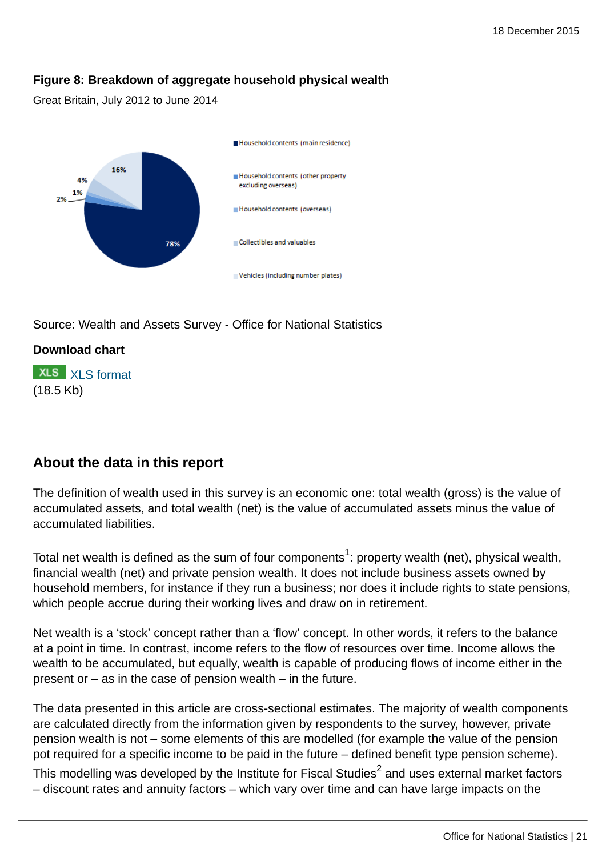## **Figure 8: Breakdown of aggregate household physical wealth**

Great Britain, July 2012 to June 2014



Source: Wealth and Assets Survey - Office for National Statistics

# **Download chart**

**XLS** [XLS format](http://www.ons.gov.uk:80/ons/rel/was/wealth-in-great-britain-wave-4/2012-2014/art-chd-8.xls) (18.5 Kb)

# **About the data in this report**

The definition of wealth used in this survey is an economic one: total wealth (gross) is the value of accumulated assets, and total wealth (net) is the value of accumulated assets minus the value of accumulated liabilities.

Total net wealth is defined as the sum of four components $^1$ : property wealth (net), physical wealth, financial wealth (net) and private pension wealth. It does not include business assets owned by household members, for instance if they run a business; nor does it include rights to state pensions, which people accrue during their working lives and draw on in retirement.

Net wealth is a 'stock' concept rather than a 'flow' concept. In other words, it refers to the balance at a point in time. In contrast, income refers to the flow of resources over time. Income allows the wealth to be accumulated, but equally, wealth is capable of producing flows of income either in the present or – as in the case of pension wealth – in the future.

The data presented in this article are cross-sectional estimates. The majority of wealth components are calculated directly from the information given by respondents to the survey, however, private pension wealth is not – some elements of this are modelled (for example the value of the pension pot required for a specific income to be paid in the future – defined benefit type pension scheme).

This modelling was developed by the Institute for Fiscal Studies $^2$  and uses external market factors – discount rates and annuity factors – which vary over time and can have large impacts on the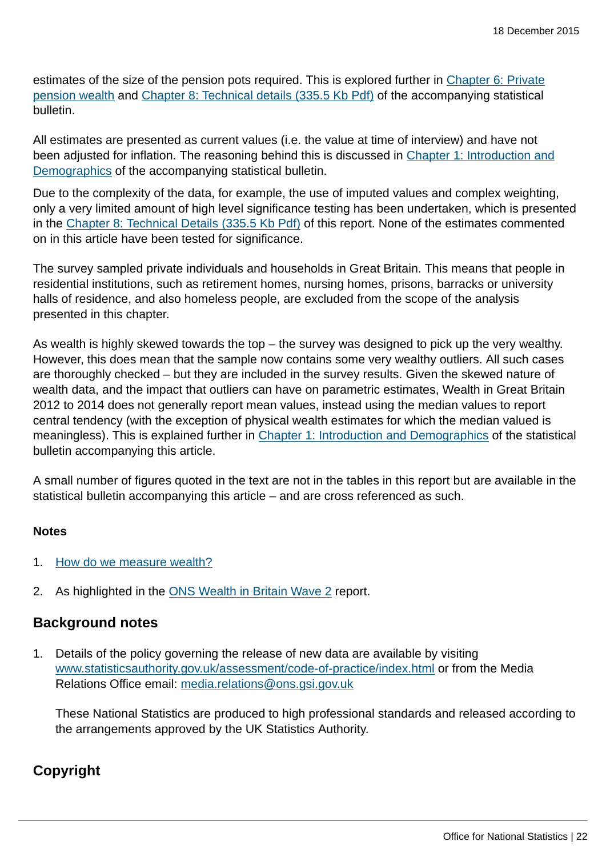estimates of the size of the pension pots required. This is explored further in [Chapter 6: Private](http://www.ons.gov.uk:80/ons/rel/was/wealth-in-great-britain-wave-4/2012-2014/rpt-chapter-6.html) [pension wealth](http://www.ons.gov.uk:80/ons/rel/was/wealth-in-great-britain-wave-4/2012-2014/rpt-chapter-6.html) and [Chapter 8: Technical details \(335.5 Kb Pdf\)](http://www.ons.gov.uk:80/ons/guide-method/method-quality/specific/economy/wealth-and-assets-survey/chapter-8--wealth-and-assets-technical-details--2012-to-2014.pdf) of the accompanying statistical bulletin.

All estimates are presented as current values (i.e. the value at time of interview) and have not been adjusted for inflation. The reasoning behind this is discussed in [Chapter 1: Introduction and](http://www.ons.gov.uk:80/ons/rel/was/wealth-in-great-britain-wave-4/2012-2014/rpt-chapter-1.html) [Demographics](http://www.ons.gov.uk:80/ons/rel/was/wealth-in-great-britain-wave-4/2012-2014/rpt-chapter-1.html) of the accompanying statistical bulletin.

Due to the complexity of the data, for example, the use of imputed values and complex weighting, only a very limited amount of high level significance testing has been undertaken, which is presented in the [Chapter 8: Technical Details \(335.5 Kb Pdf\)](http://www.ons.gov.uk:80/ons/guide-method/method-quality/specific/economy/wealth-and-assets-survey/chapter-8--wealth-and-assets-technical-details--2012-to-2014.pdf) of this report. None of the estimates commented on in this article have been tested for significance.

The survey sampled private individuals and households in Great Britain. This means that people in residential institutions, such as retirement homes, nursing homes, prisons, barracks or university halls of residence, and also homeless people, are excluded from the scope of the analysis presented in this chapter.

As wealth is highly skewed towards the top – the survey was designed to pick up the very wealthy. However, this does mean that the sample now contains some very wealthy outliers. All such cases are thoroughly checked – but they are included in the survey results. Given the skewed nature of wealth data, and the impact that outliers can have on parametric estimates, Wealth in Great Britain 2012 to 2014 does not generally report mean values, instead using the median values to report central tendency (with the exception of physical wealth estimates for which the median valued is meaningless). This is explained further in [Chapter 1: Introduction and Demographics](http://www.ons.gov.uk:80/ons/rel/was/wealth-in-great-britain-wave-4/2012-2014/rpt-chapter-1.html) of the statistical bulletin accompanying this article.

A small number of figures quoted in the text are not in the tables in this report but are available in the statistical bulletin accompanying this article – and are cross referenced as such.

#### **Notes**

- 1. [How do we measure wealth?](http://www.ons.gov.uk:80/ons/guide-method/method-quality/specific/economy/wealth-and-assets-survey/index.html)
- 2. As highlighted in the **[ONS Wealth in Britain Wave 2](http://www.ons.gov.uk:80/ons/rel/was/wealth-in-great-britain-wave-2/2008-2010--part-2-/report--chapter-5--annex.html) report.**

## **Background notes**

1. Details of the policy governing the release of new data are available by visiting [www.statisticsauthority.gov.uk/assessment/code-of-practice/index.html](http://www.statisticsauthority.gov.uk/assessment/code-of-practice/index.html) or from the Media Relations Office email: [media.relations@ons.gsi.gov.uk](mailto:media.relations@ons.gsi.gov.uk)

These National Statistics are produced to high professional standards and released according to the arrangements approved by the UK Statistics Authority.

# **Copyright**